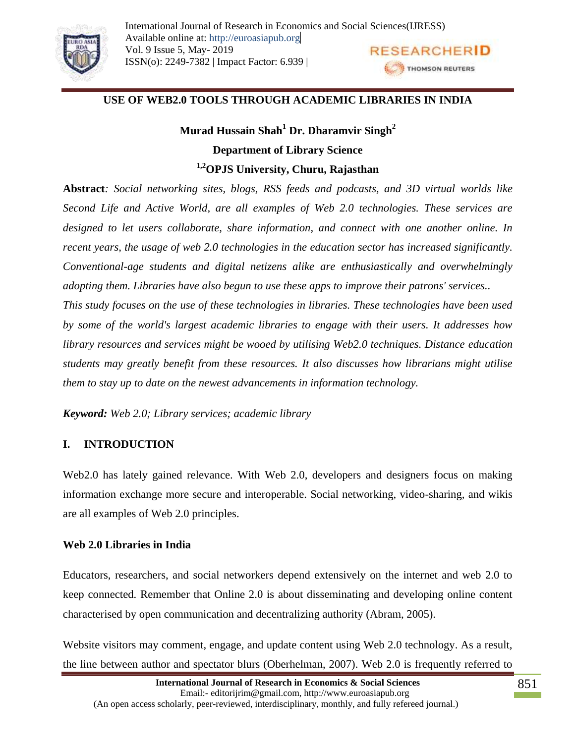

## **USE OF WEB2.0 TOOLS THROUGH ACADEMIC LIBRARIES IN INDIA**

**Murad Hussain Shah<sup>1</sup> Dr. Dharamvir Singh<sup>2</sup> Department of Library Science 1,2OPJS University, Churu, Rajasthan**

**Abstract***: Social networking sites, blogs, RSS feeds and podcasts, and 3D virtual worlds like Second Life and Active World, are all examples of Web 2.0 technologies. These services are designed to let users collaborate, share information, and connect with one another online. In recent years, the usage of web 2.0 technologies in the education sector has increased significantly. Conventional-age students and digital netizens alike are enthusiastically and overwhelmingly adopting them. Libraries have also begun to use these apps to improve their patrons' services.. This study focuses on the use of these technologies in libraries. These technologies have been used by some of the world's largest academic libraries to engage with their users. It addresses how* 

*library resources and services might be wooed by utilising Web2.0 techniques. Distance education students may greatly benefit from these resources. It also discusses how librarians might utilise them to stay up to date on the newest advancements in information technology.*

*Keyword: Web 2.0; Library services; academic library*

### **I. INTRODUCTION**

Web2.0 has lately gained relevance. With Web 2.0, developers and designers focus on making information exchange more secure and interoperable. Social networking, video-sharing, and wikis are all examples of Web 2.0 principles.

### **Web 2.0 Libraries in India**

Educators, researchers, and social networkers depend extensively on the internet and web 2.0 to keep connected. Remember that Online 2.0 is about disseminating and developing online content characterised by open communication and decentralizing authority (Abram, 2005).

Website visitors may comment, engage, and update content using Web 2.0 technology. As a result, the line between author and spectator blurs (Oberhelman, 2007). Web 2.0 is frequently referred to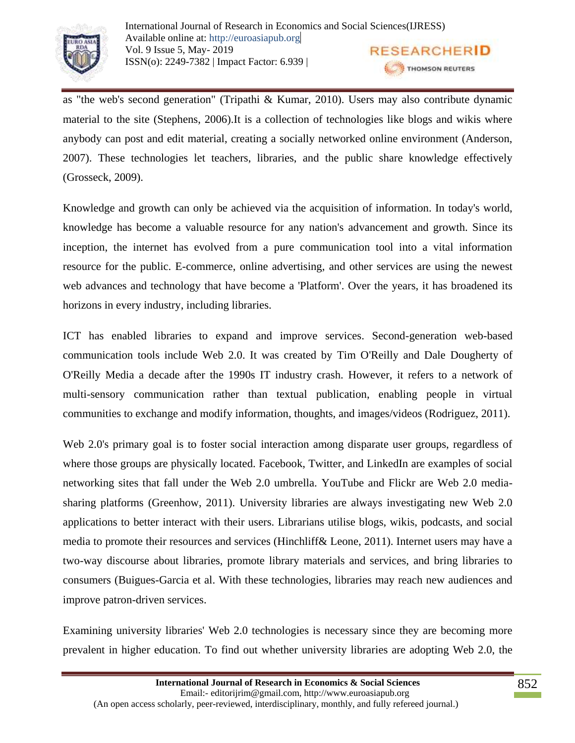

as "the web's second generation" (Tripathi & Kumar, 2010). Users may also contribute dynamic material to the site (Stephens, 2006).It is a collection of technologies like blogs and wikis where anybody can post and edit material, creating a socially networked online environment (Anderson, 2007). These technologies let teachers, libraries, and the public share knowledge effectively (Grosseck, 2009).

Knowledge and growth can only be achieved via the acquisition of information. In today's world, knowledge has become a valuable resource for any nation's advancement and growth. Since its inception, the internet has evolved from a pure communication tool into a vital information resource for the public. E-commerce, online advertising, and other services are using the newest web advances and technology that have become a 'Platform'. Over the years, it has broadened its horizons in every industry, including libraries.

ICT has enabled libraries to expand and improve services. Second-generation web-based communication tools include Web 2.0. It was created by Tim O'Reilly and Dale Dougherty of O'Reilly Media a decade after the 1990s IT industry crash. However, it refers to a network of multi-sensory communication rather than textual publication, enabling people in virtual communities to exchange and modify information, thoughts, and images/videos (Rodriguez, 2011).

Web 2.0's primary goal is to foster social interaction among disparate user groups, regardless of where those groups are physically located. Facebook, Twitter, and LinkedIn are examples of social networking sites that fall under the Web 2.0 umbrella. YouTube and Flickr are Web 2.0 mediasharing platforms (Greenhow, 2011). University libraries are always investigating new Web 2.0 applications to better interact with their users. Librarians utilise blogs, wikis, podcasts, and social media to promote their resources and services (Hinchliff& Leone, 2011). Internet users may have a two-way discourse about libraries, promote library materials and services, and bring libraries to consumers (Buigues-Garcia et al. With these technologies, libraries may reach new audiences and improve patron-driven services.

Examining university libraries' Web 2.0 technologies is necessary since they are becoming more prevalent in higher education. To find out whether university libraries are adopting Web 2.0, the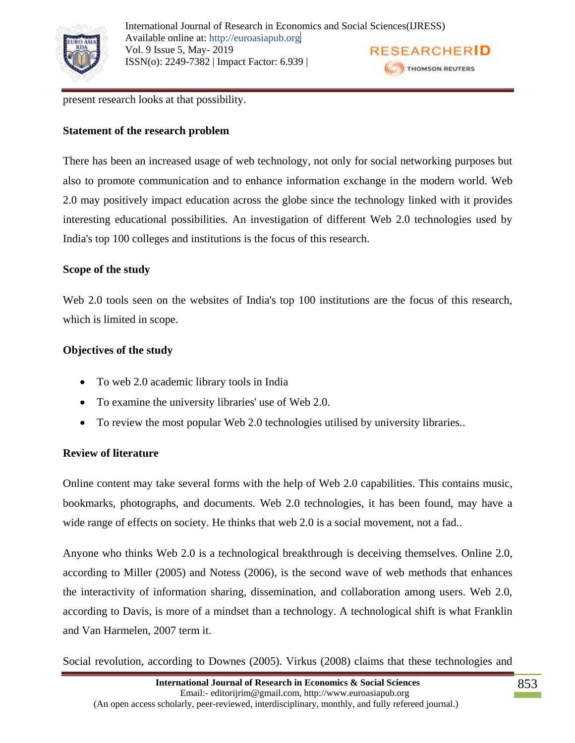

present research looks at that possibility.

## **Statement of the research problem**

There has been an increased usage of web technology, not only for social networking purposes but also to promote communication and to enhance information exchange in the modern world. Web 2.0 may positively impact education across the globe since the technology linked with it provides interesting educational possibilities. An investigation of different Web 2.0 technologies used by India's top 100 colleges and institutions is the focus of this research.

## **Scope of the study**

Web 2.0 tools seen on the websites of India's top 100 institutions are the focus of this research, which is limited in scope.

# **Objectives of the study**

- To web 2.0 academic library tools in India
- To examine the university libraries' use of Web 2.0.
- To review the most popular Web 2.0 technologies utilised by university libraries..

# **Review of literature**

Online content may take several forms with the help of Web 2.0 capabilities. This contains music, bookmarks, photographs, and documents. Web 2.0 technologies, it has been found, may have a wide range of effects on society. He thinks that web 2.0 is a social movement, not a fad..

Anyone who thinks Web 2.0 is a technological breakthrough is deceiving themselves. Online 2.0, according to Miller (2005) and Notess (2006), is the second wave of web methods that enhances the interactivity of information sharing, dissemination, and collaboration among users. Web 2.0, according to Davis, is more of a mindset than a technology. A technological shift is what Franklin and Van Harmelen, 2007 term it.

Social revolution, according to Downes (2005). Virkus (2008) claims that these technologies and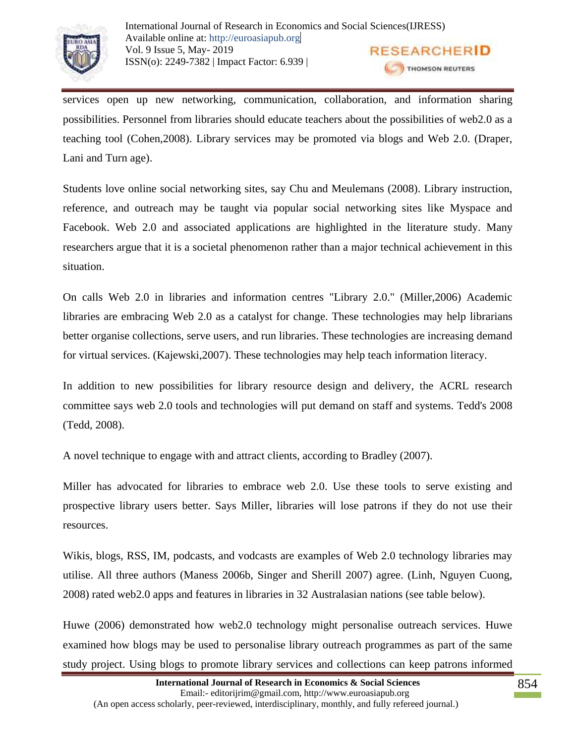

services open up new networking, communication, collaboration, and information sharing possibilities. Personnel from libraries should educate teachers about the possibilities of web2.0 as a teaching tool (Cohen,2008). Library services may be promoted via blogs and Web 2.0. (Draper, Lani and Turn age).

Students love online social networking sites, say Chu and Meulemans (2008). Library instruction, reference, and outreach may be taught via popular social networking sites like Myspace and Facebook. Web 2.0 and associated applications are highlighted in the literature study. Many researchers argue that it is a societal phenomenon rather than a major technical achievement in this situation.

On calls Web 2.0 in libraries and information centres "Library 2.0." (Miller,2006) Academic libraries are embracing Web 2.0 as a catalyst for change. These technologies may help librarians better organise collections, serve users, and run libraries. These technologies are increasing demand for virtual services. (Kajewski,2007). These technologies may help teach information literacy.

In addition to new possibilities for library resource design and delivery, the ACRL research committee says web 2.0 tools and technologies will put demand on staff and systems. Tedd's 2008 (Tedd, 2008).

A novel technique to engage with and attract clients, according to Bradley (2007).

Miller has advocated for libraries to embrace web 2.0. Use these tools to serve existing and prospective library users better. Says Miller, libraries will lose patrons if they do not use their resources.

Wikis, blogs, RSS, IM, podcasts, and vodcasts are examples of Web 2.0 technology libraries may utilise. All three authors (Maness 2006b, Singer and Sherill 2007) agree. (Linh, Nguyen Cuong, 2008) rated web2.0 apps and features in libraries in 32 Australasian nations (see table below).

Huwe (2006) demonstrated how web2.0 technology might personalise outreach services. Huwe examined how blogs may be used to personalise library outreach programmes as part of the same study project. Using blogs to promote library services and collections can keep patrons informed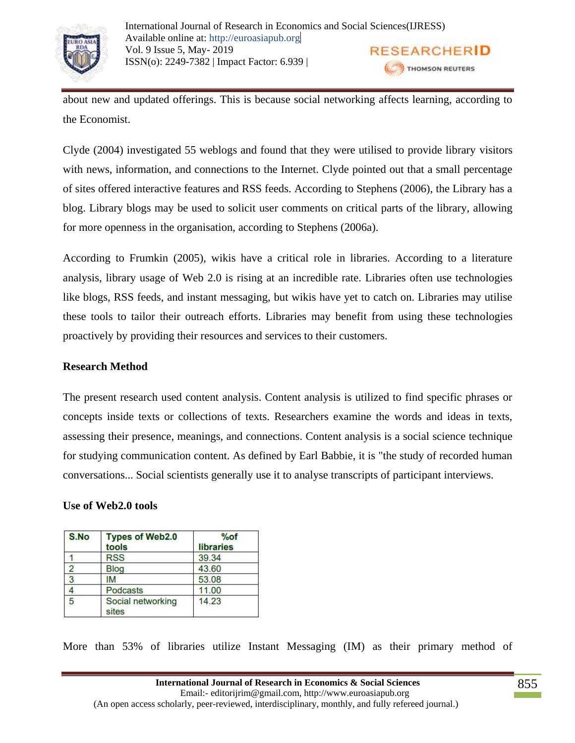

about new and updated offerings. This is because social networking affects learning, according to the Economist.

Clyde (2004) investigated 55 weblogs and found that they were utilised to provide library visitors with news, information, and connections to the Internet. Clyde pointed out that a small percentage of sites offered interactive features and RSS feeds. According to Stephens (2006), the Library has a blog. Library blogs may be used to solicit user comments on critical parts of the library, allowing for more openness in the organisation, according to Stephens (2006a).

According to Frumkin (2005), wikis have a critical role in libraries. According to a literature analysis, library usage of Web 2.0 is rising at an incredible rate. Libraries often use technologies like blogs, RSS feeds, and instant messaging, but wikis have yet to catch on. Libraries may utilise these tools to tailor their outreach efforts. Libraries may benefit from using these technologies proactively by providing their resources and services to their customers.

## **Research Method**

The present research used content analysis. Content analysis is utilized to find specific phrases or concepts inside texts or collections of texts. Researchers examine the words and ideas in texts, assessing their presence, meanings, and connections. Content analysis is a social science technique for studying communication content. As defined by Earl Babbie, it is "the study of recorded human conversations... Social scientists generally use it to analyse transcripts of participant interviews.

### **Use of Web2.0 tools**

| S.No           | <b>Types of Web2.0</b><br>tools | $%$ of<br>libraries |  |
|----------------|---------------------------------|---------------------|--|
|                | <b>RSS</b>                      | 39.34               |  |
| $\overline{2}$ | <b>Blog</b>                     | 43.60               |  |
| 3              | ΙM                              | 53.08               |  |
|                | Podcasts                        | 11.00               |  |
| 5              | Social networking<br>sites      | 14.23               |  |

More than 53% of libraries utilize Instant Messaging (IM) as their primary method of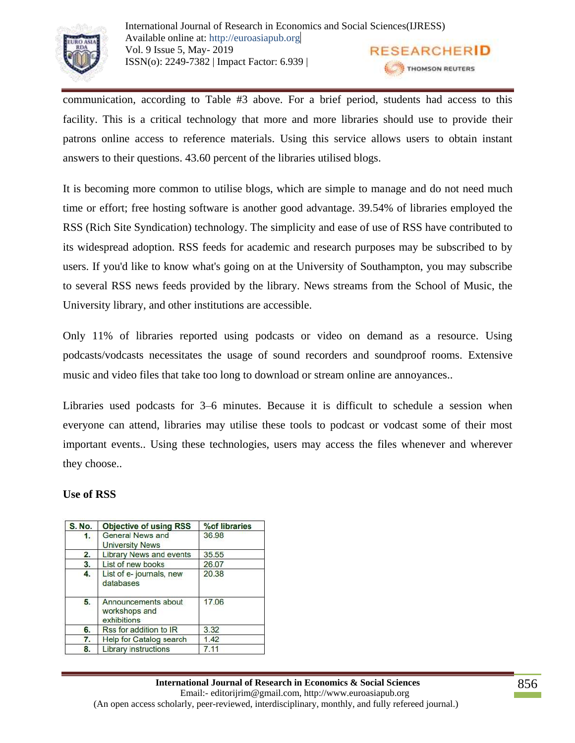

communication, according to Table #3 above. For a brief period, students had access to this facility. This is a critical technology that more and more libraries should use to provide their patrons online access to reference materials. Using this service allows users to obtain instant answers to their questions. 43.60 percent of the libraries utilised blogs.

It is becoming more common to utilise blogs, which are simple to manage and do not need much time or effort; free hosting software is another good advantage. 39.54% of libraries employed the RSS (Rich Site Syndication) technology. The simplicity and ease of use of RSS have contributed to its widespread adoption. RSS feeds for academic and research purposes may be subscribed to by users. If you'd like to know what's going on at the University of Southampton, you may subscribe to several RSS news feeds provided by the library. News streams from the School of Music, the University library, and other institutions are accessible.

Only 11% of libraries reported using podcasts or video on demand as a resource. Using podcasts/vodcasts necessitates the usage of sound recorders and soundproof rooms. Extensive music and video files that take too long to download or stream online are annoyances..

Libraries used podcasts for 3–6 minutes. Because it is difficult to schedule a session when everyone can attend, libraries may utilise these tools to podcast or vodcast some of their most important events.. Using these technologies, users may access the files whenever and wherever they choose..

# **Use of RSS**

| <b>S. No.</b> | <b>Objective of using RSS</b>                       | %of libraries |  |
|---------------|-----------------------------------------------------|---------------|--|
| 1.            | <b>General News and</b><br><b>University News</b>   | 36.98         |  |
| 2.            | <b>Library News and events</b>                      | 35.55         |  |
| 3.            | List of new books                                   | 26.07         |  |
| 4.            | List of e-journals, new<br>databases                | 20.38         |  |
| 5.            | Announcements about<br>workshops and<br>exhibitions | 17,06         |  |
| 6.            | Rss for addition to IR                              | 3.32          |  |
| 7.            | <b>Help for Catalog search</b>                      | 1.42          |  |
| 8.            | <b>Library instructions</b>                         | 7.11          |  |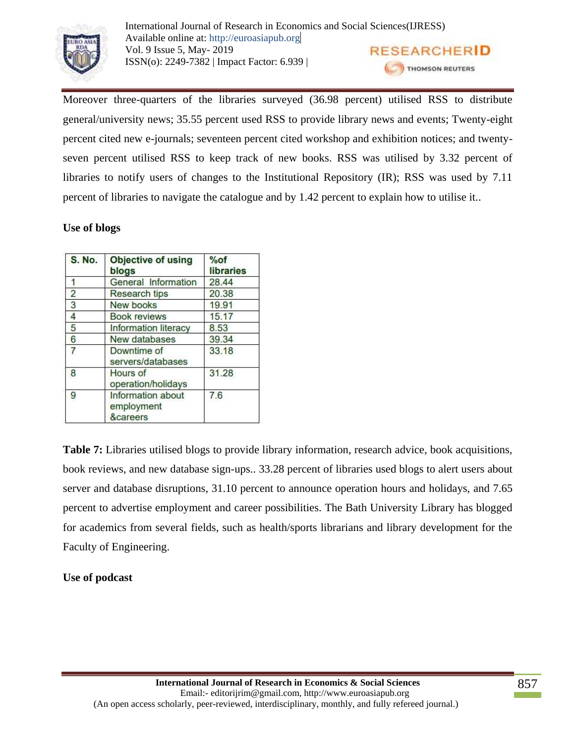

International Journal of Research in Economics and Social Sciences(IJRESS) Available online at: http://euroasiapub.org Vol. 9 Issue 5, May- 2019 **RESEARCHERID** ISSN(o): 2249-7382 | Impact Factor: 6.939 | THOMSON REUTERS

Moreover three-quarters of the libraries surveyed (36.98 percent) utilised RSS to distribute general/university news; 35.55 percent used RSS to provide library news and events; Twenty-eight percent cited new e-journals; seventeen percent cited workshop and exhibition notices; and twentyseven percent utilised RSS to keep track of new books. RSS was utilised by 3.32 percent of libraries to notify users of changes to the Institutional Repository (IR); RSS was used by 7.11 percent of libraries to navigate the catalogue and by 1.42 percent to explain how to utilise it..

# **Use of blogs**

| <b>S. No.</b>  | <b>Objective of using</b><br>blogs                     | $%$ of<br>libraries |
|----------------|--------------------------------------------------------|---------------------|
|                | <b>General Information</b>                             | 28.44               |
| $\overline{2}$ | <b>Research tips</b>                                   | 20.38               |
| 3              | New books                                              | 19.91               |
| 4              | <b>Book reviews</b>                                    | 15.17               |
| 5              | <b>Information literacy</b>                            | 8.53                |
| 6              | New databases                                          | 39.34               |
| 7              | Downtime of<br>servers/databases                       | 33.18               |
| 8              | Hours of<br>operation/holidays                         |                     |
| 9              | Information about<br>employment<br><b>&amp;careers</b> | 7.6                 |

**Table 7:** Libraries utilised blogs to provide library information, research advice, book acquisitions, book reviews, and new database sign-ups.. 33.28 percent of libraries used blogs to alert users about server and database disruptions, 31.10 percent to announce operation hours and holidays, and 7.65 percent to advertise employment and career possibilities. The Bath University Library has blogged for academics from several fields, such as health/sports librarians and library development for the Faculty of Engineering.

# **Use of podcast**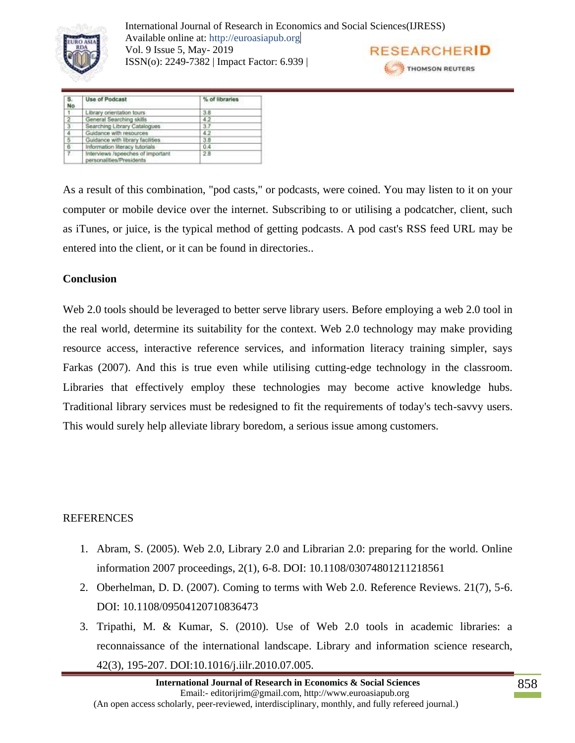

International Journal of Research in Economics and Social Sciences(IJRESS) Available online at: http://euroasiapub.org Vol. 9 Issue 5, May- 2019 ISSN(o): 2249-7382 | Impact Factor: 6.939 |

|  | <b>RESEARCHERID</b> |  |  |  |
|--|---------------------|--|--|--|
|  | THOMSON REUTERS     |  |  |  |

| s.<br>No       | Use of Podcast<br>The Mother's County of Australian           | % of libraries |
|----------------|---------------------------------------------------------------|----------------|
| $\mathbf{t}$   | Library orientation tours                                     | 3.8            |
|                | General Searching skills                                      | 4.2            |
| $\frac{2}{3}$  | Searching Library Catalogues                                  | 3.7            |
| $\overline{4}$ | Guidance with resources                                       | 4.2            |
| 5              | Guidance with library facilities                              | 3.8            |
| $rac{6}{7}$    | Information literacy tutorials                                | 0.4            |
|                | Interviews /speeches of important<br>personalities/Presidents | 28             |

As a result of this combination, "pod casts," or podcasts, were coined. You may listen to it on your computer or mobile device over the internet. Subscribing to or utilising a podcatcher, client, such as iTunes, or juice, is the typical method of getting podcasts. A pod cast's RSS feed URL may be entered into the client, or it can be found in directories..

## **Conclusion**

Web 2.0 tools should be leveraged to better serve library users. Before employing a web 2.0 tool in the real world, determine its suitability for the context. Web 2.0 technology may make providing resource access, interactive reference services, and information literacy training simpler, says Farkas (2007). And this is true even while utilising cutting-edge technology in the classroom. Libraries that effectively employ these technologies may become active knowledge hubs. Traditional library services must be redesigned to fit the requirements of today's tech-savvy users. This would surely help alleviate library boredom, a serious issue among customers.

### REFERENCES

- 1. Abram, S. (2005). Web 2.0, Library 2.0 and Librarian 2.0: preparing for the world. Online information 2007 proceedings, 2(1), 6-8. DOI: 10.1108/03074801211218561
- 2. Oberhelman, D. D. (2007). Coming to terms with Web 2.0. Reference Reviews. 21(7), 5-6. DOI: 10.1108/09504120710836473
- 3. Tripathi, M. & Kumar, S. (2010). Use of Web 2.0 tools in academic libraries: a reconnaissance of the international landscape. Library and information science research, 42(3), 195-207. DOI:10.1016/j.iilr.2010.07.005.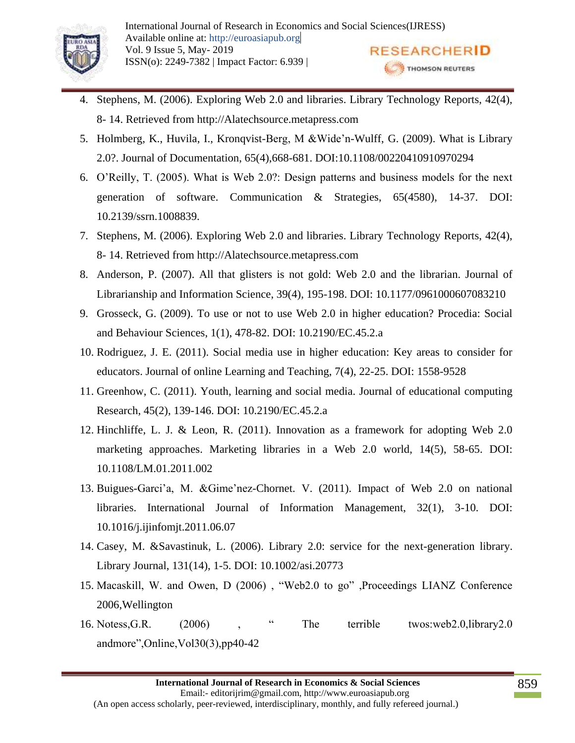

- 4. Stephens, M. (2006). Exploring Web 2.0 and libraries. Library Technology Reports, 42(4), 8- 14. Retrieved from http://Alatechsource.metapress.com
- 5. Holmberg, K., Huvila, I., Kronqvist-Berg, M &Wide'n-Wulff, G. (2009). What is Library 2.0?. Journal of Documentation, 65(4),668-681. DOI:10.1108/00220410910970294
- 6. O'Reilly, T. (2005). What is Web 2.0?: Design patterns and business models for the next generation of software. Communication & Strategies, 65(4580), 14-37. DOI: 10.2139/ssrn.1008839.
- 7. Stephens, M. (2006). Exploring Web 2.0 and libraries. Library Technology Reports, 42(4), 8- 14. Retrieved from http://Alatechsource.metapress.com
- 8. Anderson, P. (2007). All that glisters is not gold: Web 2.0 and the librarian. Journal of Librarianship and Information Science, 39(4), 195-198. DOI: 10.1177/0961000607083210
- 9. Grosseck, G. (2009). To use or not to use Web 2.0 in higher education? Procedia: Social and Behaviour Sciences, 1(1), 478-82. DOI: 10.2190/EC.45.2.a
- 10. Rodriguez, J. E. (2011). Social media use in higher education: Key areas to consider for educators. Journal of online Learning and Teaching, 7(4), 22-25. DOI: 1558-9528
- 11. Greenhow, C. (2011). Youth, learning and social media. Journal of educational computing Research, 45(2), 139-146. DOI: 10.2190/EC.45.2.a
- 12. Hinchliffe, L. J. & Leon, R. (2011). Innovation as a framework for adopting Web 2.0 marketing approaches. Marketing libraries in a Web 2.0 world, 14(5), 58-65. DOI: 10.1108/LM.01.2011.002
- 13. Buigues-Garci'a, M. &Gime'nez-Chornet. V. (2011). Impact of Web 2.0 on national libraries. International Journal of Information Management, 32(1), 3-10. DOI: 10.1016/j.ijinfomjt.2011.06.07
- 14. Casey, M. &Savastinuk, L. (2006). Library 2.0: service for the next-generation library. Library Journal, 131(14), 1-5. DOI: 10.1002/asi.20773
- 15. Macaskill, W. and Owen, D (2006) , "Web2.0 to go" ,Proceedings LIANZ Conference 2006,Wellington
- 16. Notess,G.R. (2006) , " The terrible twos:web2.0,library2.0 andmore",Online,Vol30(3),pp40-42